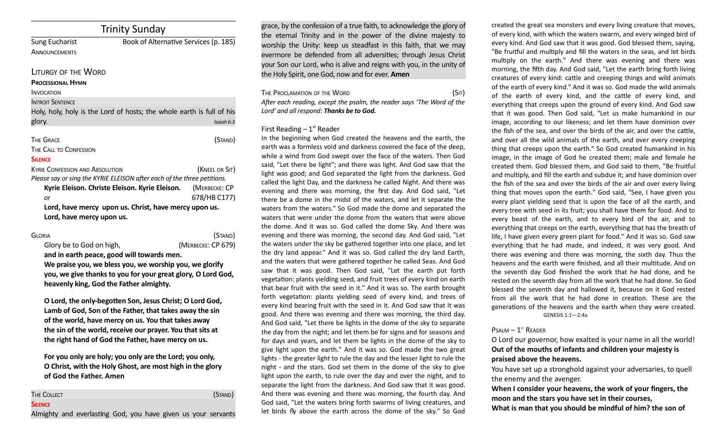# Trinity Sunday

|                                        | -------                                                               |
|----------------------------------------|-----------------------------------------------------------------------|
| <b>Sung Eucharist</b>                  | Book of Alternative Services (p. 185)                                 |
| <b>ANNOUNCEMENTS</b>                   |                                                                       |
| LITURGY OF THE WORD                    |                                                                       |
| <b>PROCESSIONAL HYMN</b>               |                                                                       |
| <b>INVOCATION</b>                      |                                                                       |
| <b>INTROIT SENTENCE</b>                |                                                                       |
|                                        | Holy, holy, holy is the Lord of hosts; the whole earth is full of his |
| glory.                                 | Isaiah 6:3                                                            |
| <b>THE GRACE</b>                       | (Stand)                                                               |
| <b>THE CALL TO CONFESSION</b>          |                                                                       |
| <b>SILENCE</b>                         |                                                                       |
| <b>KYRIE CONFESSION AND ABSOLUTION</b> | (KNEEL OR SIT)                                                        |

*Please say or sing the KYRIE ELEISON after each of the three petitions.* **Kyrie Eleison. Christe Eleison. Kyrie Eleison.** (MERBECKE: CP *or* 678/HB C177) **Lord, have mercy upon us. Christ, have mercy upon us. Lord, have mercy upon us.**

| Gloria                   | (Stand)            |
|--------------------------|--------------------|
| Glory be to God on high, | (MERBECKE: CP 679) |

**and in earth peace, good will towards men. We praise you, we bless you, we worship you, we glorify you, we give thanks to you for your great glory, O Lord God, heavenly king, God the Father almighty.** 

**O Lord, the only-begoten Son, Jesus Christ; O Lord God, Lamb of God, Son of the Father, that takes away the sin of the world, have mercy on us. You that takes away the sin of the world, receive our prayer. You that sits at the right hand of God the Father, have mercy on us.** 

**For you only are holy; you only are the Lord; you only, O Christ, with the Holy Ghost, are most high in the glory of God the Father. Amen**

| THE COLLECT                                                   |  |  |  | (Stand) |
|---------------------------------------------------------------|--|--|--|---------|
| <b>SILENCE</b>                                                |  |  |  |         |
| Almighty and everlasting God, you have given us your servants |  |  |  |         |

grace, by the confession of a true faith, to acknowledge the glory of the eternal Trinity and in the power of the divine majesty to worship the Unity: keep us steadfast in this faith, that we may evermore be defended from all adversities; through Jesus Christ your Son our Lord, who is alive and reigns with you, in the unity of the Holy Spirit, one God, now and for ever. **Amen**

| THE PROCLAMATION OF THE WORD                                           | (SIT) |
|------------------------------------------------------------------------|-------|
| After each reading, except the psalm, the reader says 'The Word of the |       |
| Lord' and all respond: <b>Thanks be to God.</b>                        |       |

#### First Reading  $-1<sup>st</sup>$  Reader

In the beginning when God created the heavens and the earth, the earth was a formless void and darkness covered the face of the deep, while a wind from God swept over the face of the waters. Then God said, "Let there be light"; and there was light. And God saw that the light was good; and God separated the light from the darkness. God called the light Day, and the darkness he called Night. And there was evening and there was morning, the first day. And God said, "Let there be a dome in the midst of the waters, and let it separate the waters from the waters." So God made the dome and separated the waters that were under the dome from the waters that were above the dome. And it was so. God called the dome Sky. And there was evening and there was morning, the second day. And God said, "Let the waters under the sky be gathered together into one place, and let the dry land appear." And it was so. God called the dry land Earth, and the waters that were gathered together he called Seas. And God saw that it was good. Then God said, "Let the earth put forth vegetation: plants yielding seed, and fruit trees of every kind on earth that bear fruit with the seed in it." And it was so. The earth brought forth vegetation: plants yielding seed of every kind, and trees of every kind bearing fruit with the seed in it. And God saw that it was good. And there was evening and there was morning, the third day. And God said, "Let there be lights in the dome of the sky to separate the day from the night; and let them be for signs and for seasons and for days and years, and let them be lights in the dome of the sky to give light upon the earth." And it was so. God made the two great lights - the greater light to rule the day and the lesser light to rule the night - and the stars. God set them in the dome of the sky to give light upon the earth, to rule over the day and over the night, and to separate the light from the darkness. And God saw that it was good. And there was evening and there was morning, the fourth day. And God said, "Let the waters bring forth swarms of living creatures, and let birds fy above the earth across the dome of the sky." So God

created the great sea monsters and every living creature that moves, of every kind, with which the waters swarm, and every winged bird of every kind. And God saw that it was good. God blessed them, saying, "Be fruitful and multiply and fill the waters in the seas, and let birds multiply on the earth." And there was evening and there was morning, the ffh day. And God said, "Let the earth bring forth living creatures of every kind: catle and creeping things and wild animals of the earth of every kind." And it was so. God made the wild animals of the earth of every kind, and the catle of every kind, and everything that creeps upon the ground of every kind. And God saw that it was good. Then God said, "Let us make humankind in our image, according to our likeness; and let them have dominion over the fish of the sea, and over the birds of the air, and over the cattle, and over all the wild animals of the earth, and over every creeping thing that creeps upon the earth." So God created humankind in his image, in the image of God he created them; male and female he created them. God blessed them, and God said to them, "Be fruitful and multiply, and fill the earth and subdue it; and have dominion over the fish of the sea and over the birds of the air and over every living thing that moves upon the earth." God said, "See, I have given you every plant yielding seed that is upon the face of all the earth, and every tree with seed in its fruit; you shall have them for food. And to every beast of the earth, and to every bird of the air, and to everything that creeps on the earth, everything that has the breath of life, I have given every green plant for food." And it was so. God saw everything that he had made, and indeed, it was very good. And there was evening and there was morning, the sixth day. Thus the heavens and the earth were finished, and all their multitude. And on the seventh day God fnished the work that he had done, and he rested on the seventh day from all the work that he had done. So God blessed the seventh day and hallowed it, because on it God rested from all the work that he had done in creation. These are the generations of the heavens and the earth when they were created. GENESIS 1:1—2:4a

#### $P$ SALM  $-1$ <sup>ST</sup> READER

O Lord our governor, how exalted is your name in all the world! **Out of the mouths of infants and children your majesty is praised above the heavens.**

You have set up a stronghold against your adversaries, to quell the enemy and the avenger.

**When I consider your heavens, the work of your fingers, the moon and the stars you have set in their courses,**

**What is man that you should be mindful of him? the son of**